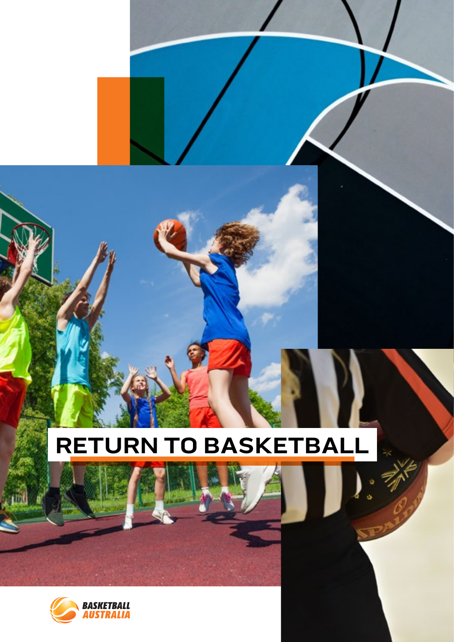# **RETURN TO BASKETBALL**

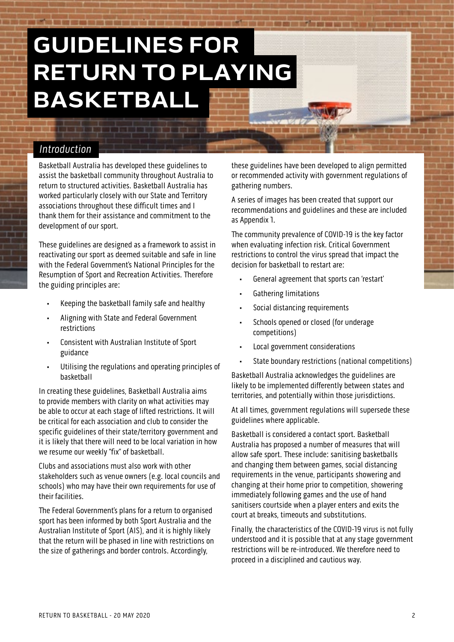# **GUIDELINES FOR RETURN TO PLAYING BASKETBALL**

#### Introduction

Basketball Australia has developed these guidelines to assist the basketball community throughout Australia to return to structured activities. Basketball Australia has worked particularly closely with our State and Territory associations throughout these difficult times and I thank them for their assistance and commitment to the development of our sport.

These guidelines are designed as a framework to assist in reactivating our sport as deemed suitable and safe in line with the Federal Government's National Principles for the Resumption of Sport and Recreation Activities. Therefore the guiding principles are:

- Keeping the basketball family safe and healthy
- Aligning with State and Federal Government restrictions
- Consistent with Australian Institute of Sport guidance
- Utilising the regulations and operating principles of basketball

In creating these guidelines, Basketball Australia aims to provide members with clarity on what activities may be able to occur at each stage of lifted restrictions. It will be critical for each association and club to consider the specific guidelines of their state/territory government and it is likely that there will need to be local variation in how we resume our weekly "fix" of basketball.

Clubs and associations must also work with other stakeholders such as venue owners (e.g. local councils and schools) who may have their own requirements for use of their facilities.

The Federal Government's plans for a return to organised sport has been informed by both Sport Australia and the Australian Institute of Sport (AIS), and it is highly likely that the return will be phased in line with restrictions on the size of gatherings and border controls. Accordingly,

these guidelines have been developed to align permitted or recommended activity with government regulations of gathering numbers.

A series of images has been created that support our recommendations and guidelines and these are included as Appendix 1.

The community prevalence of COVID-19 is the key factor when evaluating infection risk. Critical Government restrictions to control the virus spread that impact the decision for basketball to restart are:

- General agreement that sports can 'restart'
- Gathering limitations
- Social distancing requirements
- Schools opened or closed (for underage competitions)
- Local government considerations
- State boundary restrictions (national competitions)

Basketball Australia acknowledges the guidelines are likely to be implemented differently between states and territories, and potentially within those jurisdictions.

At all times, government regulations will supersede these guidelines where applicable.

Basketball is considered a contact sport. Basketball Australia has proposed a number of measures that will allow safe sport. These include: sanitising basketballs and changing them between games, social distancing requirements in the venue, participants showering and changing at their home prior to competition, showering immediately following games and the use of hand sanitisers courtside when a player enters and exits the court at breaks, timeouts and substitutions.

Finally, the characteristics of the COVID-19 virus is not fully understood and it is possible that at any stage government restrictions will be re-introduced. We therefore need to proceed in a disciplined and cautious way.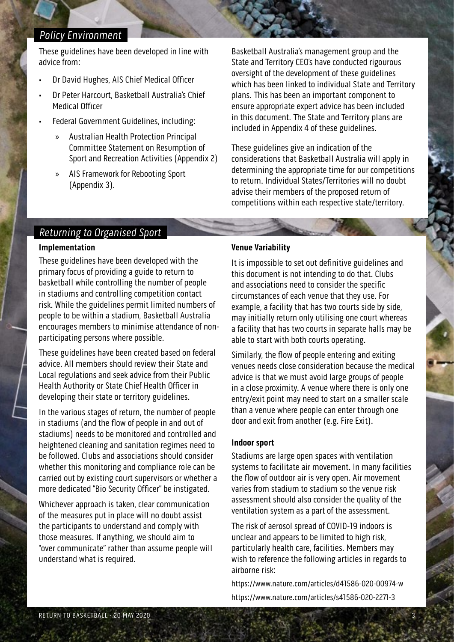#### Policy Environment

These guidelines have been developed in line with advice from:

- Dr David Hughes, AIS Chief Medical Officer
- Dr Peter Harcourt, Basketball Australia's Chief Medical Officer
- Federal Government Guidelines, including:
	- » Australian Health Protection Principal Committee Statement on Resumption of Sport and Recreation Activities (Appendix 2)
	- » AIS Framework for Rebooting Sport (Appendix 3).

Basketball Australia's management group and the State and Territory CEO's have conducted rigourous oversight of the development of these guidelines which has been linked to individual State and Territory plans. This has been an important component to ensure appropriate expert advice has been included in this document. The State and Territory plans are included in Appendix 4 of these guidelines.

These guidelines give an indication of the considerations that Basketball Australia will apply in determining the appropriate time for our competitions to return. Individual States/Territories will no doubt advise their members of the proposed return of competitions within each respective state/territory.

#### Returning to Organised Sport

#### **Implementation**

These guidelines have been developed with the primary focus of providing a guide to return to basketball while controlling the number of people in stadiums and controlling competition contact risk. While the guidelines permit limited numbers of people to be within a stadium, Basketball Australia encourages members to minimise attendance of nonparticipating persons where possible.

These guidelines have been created based on federal advice. All members should review their State and Local regulations and seek advice from their Public Health Authority or State Chief Health Officer in developing their state or territory guidelines.

In the various stages of return, the number of people in stadiums (and the flow of people in and out of stadiums) needs to be monitored and controlled and heightened cleaning and sanitation regimes need to be followed. Clubs and associations should consider whether this monitoring and compliance role can be carried out by existing court supervisors or whether a more dedicated "Bio Security Officer" be instigated.

Whichever approach is taken, clear communication of the measures put in place will no doubt assist the participants to understand and comply with those measures. If anything, we should aim to "over communicate" rather than assume people will understand what is required.

#### **Venue Variability**

It is impossible to set out definitive guidelines and this document is not intending to do that. Clubs and associations need to consider the specific circumstances of each venue that they use. For example, a facility that has two courts side by side, may initially return only utilising one court whereas a facility that has two courts in separate halls may be able to start with both courts operating.

Similarly, the flow of people entering and exiting venues needs close consideration because the medical advice is that we must avoid large groups of people in a close proximity. A venue where there is only one entry/exit point may need to start on a smaller scale than a venue where people can enter through one door and exit from another (e.g. Fire Exit).

#### **Indoor sport**

Stadiums are large open spaces with ventilation systems to facilitate air movement. In many facilities the flow of outdoor air is very open. Air movement varies from stadium to stadium so the venue risk assessment should also consider the quality of the ventilation system as a part of the assessment.

The risk of aerosol spread of COVID-19 indoors is unclear and appears to be limited to high risk, particularly health care, facilities. Members may wish to reference the following articles in regards to airborne risk:

https://www.nature.com/articles/d41586-020-00974-w https://www.nature.com/articles/s41586-020-2271-3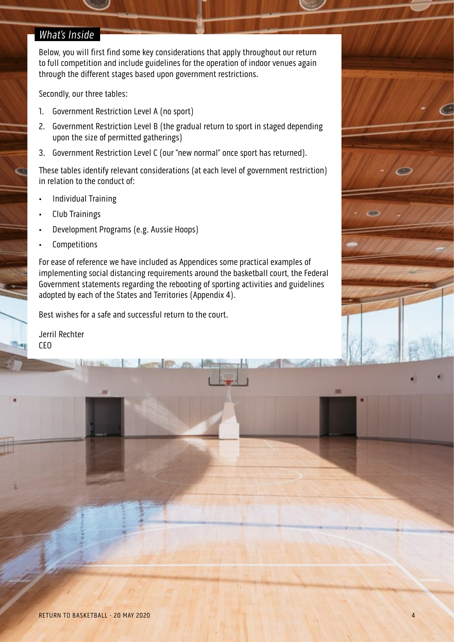#### What's Inside

Below, you will first find some key considerations that apply throughout our return to full competition and include guidelines for the operation of indoor venues again through the different stages based upon government restrictions.

Secondly, our three tables:

- 1. Government Restriction Level A (no sport)
- 2. Government Restriction Level B (the gradual return to sport in staged depending upon the size of permitted gatherings)
- 3. Government Restriction Level C (our "new normal" once sport has returned).

These tables identify relevant considerations (at each level of government restriction) in relation to the conduct of:

- Individual Training
- Club Trainings
- Development Programs (e.g. Aussie Hoops)
- **Competitions**

For ease of reference we have included as Appendices some practical examples of implementing social distancing requirements around the basketball court, the Federal Government statements regarding the rebooting of sporting activities and guidelines adopted by each of the States and Territories (Appendix 4).

Best wishes for a safe and successful return to the court.

Jerril Rechter CEO

**U. 1030146** 

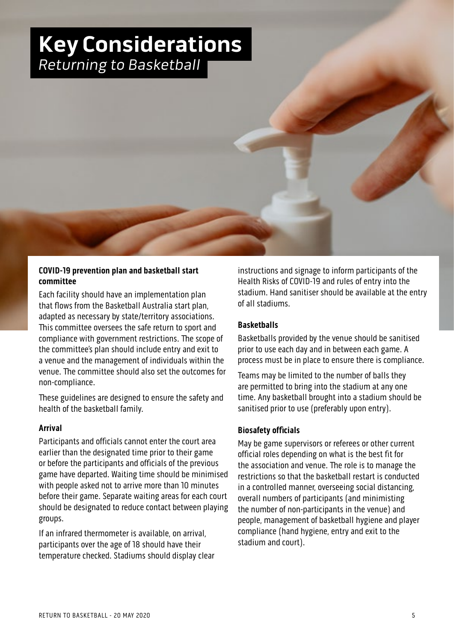## **Key Considerations**  Returning to Basketball

#### **COVID-19 prevention plan and basketball start committee**

Each facility should have an implementation plan that flows from the Basketball Australia start plan, adapted as necessary by state/territory associations. This committee oversees the safe return to sport and compliance with government restrictions. The scope of the committee's plan should include entry and exit to a venue and the management of individuals within the venue. The committee should also set the outcomes for non-compliance.

These guidelines are designed to ensure the safety and health of the basketball family.

#### **Arrival**

Participants and officials cannot enter the court area earlier than the designated time prior to their game or before the participants and officials of the previous game have departed. Waiting time should be minimised with people asked not to arrive more than 10 minutes before their game. Separate waiting areas for each court should be designated to reduce contact between playing groups.

If an infrared thermometer is available, on arrival, participants over the age of 18 should have their temperature checked. Stadiums should display clear instructions and signage to inform participants of the Health Risks of COVID-19 and rules of entry into the stadium. Hand sanitiser should be available at the entry of all stadiums.

#### **Basketballs**

Basketballs provided by the venue should be sanitised prior to use each day and in between each game. A process must be in place to ensure there is compliance.

Teams may be limited to the number of balls they are permitted to bring into the stadium at any one time. Any basketball brought into a stadium should be sanitised prior to use (preferably upon entry).

#### **Biosafety officials**

May be game supervisors or referees or other current official roles depending on what is the best fit for the association and venue. The role is to manage the restrictions so that the basketball restart is conducted in a controlled manner, overseeing social distancing, overall numbers of participants (and minimisting the number of non-participants in the venue) and people, management of basketball hygiene and player compliance (hand hygiene, entry and exit to the stadium and court).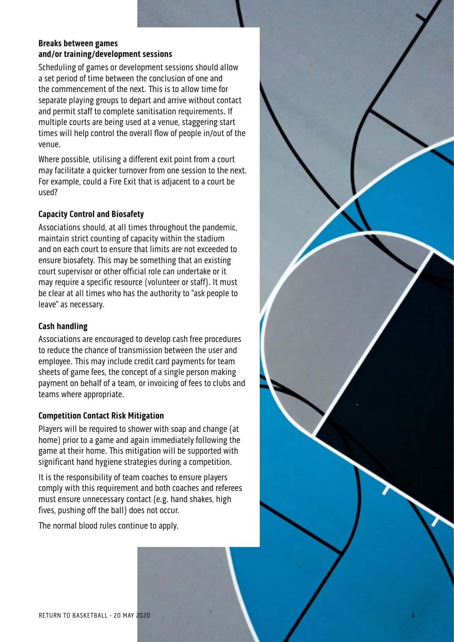#### **Breaks between games and/or training/development sessions**

Scheduling of games or development sessions should allow a set period of time between the conclusion of one and the commencement of the next. This is to allow time for separate playing groups to depart and arrive without contact and permit staff to complete sanitisation requirements. If multiple courts are being used at a venue, staggering start times will help control the overall flow of people in/out of the venue.

Where possible, utilising a different exit point from a court may facilitate a quicker turnover from one session to the next. For example, could a Fire Exit that is adjacent to a court be used?

#### **Capacity Control and Biosafety**

Associations should, at all times throughout the pandemic, maintain strict counting of capacity within the stadium and on each court to ensure that limits are not exceeded to ensure biosafety. This may be something that an existing court supervisor or other official role can undertake or it may require a specific resource (volunteer or staff). It must be clear at all times who has the authority to "ask people to leave" as necessary.

#### **Cash handling**

Associations are encouraged to develop cash free procedures to reduce the chance of transmission between the user and employee. This may include credit card payments for team sheets of game fees, the concept of a single person making payment on behalf of a team, or invoicing of fees to clubs and teams where appropriate.

#### **Competition Contact Risk Mitigation**

Players will be required to shower with soap and change (at home) prior to a game and again immediately following the game at their home. This mitigation will be supported with significant hand hygiene strategies during a competition.

It is the responsibility of team coaches to ensure players comply with this requirement and both coaches and referees must ensure unnecessary contact (e.g. hand shakes, high fives, pushing off the ball) does not occur.

The normal blood rules continue to apply.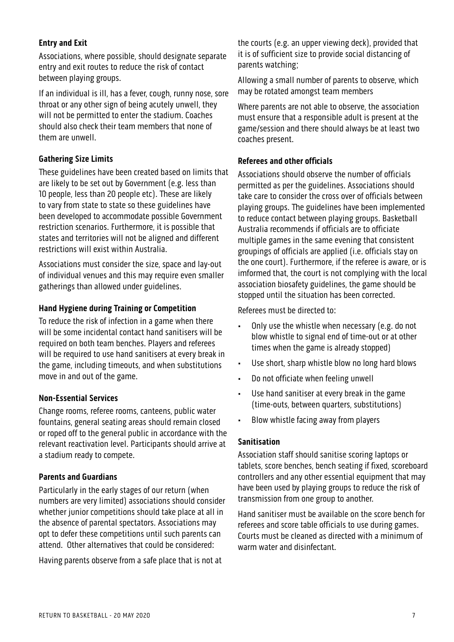#### **Entry and Exit**

Associations, where possible, should designate separate entry and exit routes to reduce the risk of contact between playing groups.

If an individual is ill, has a fever, cough, runny nose, sore throat or any other sign of being acutely unwell, they will not be permitted to enter the stadium. Coaches should also check their team members that none of them are unwell.

#### **Gathering Size Limits**

These guidelines have been created based on limits that are likely to be set out by Government (e.g. less than 10 people, less than 20 people etc). These are likely to vary from state to state so these guidelines have been developed to accommodate possible Government restriction scenarios. Furthermore, it is possible that states and territories will not be aligned and different restrictions will exist within Australia.

Associations must consider the size, space and lay-out of individual venues and this may require even smaller gatherings than allowed under guidelines.

#### **Hand Hygiene during Training or Competition**

To reduce the risk of infection in a game when there will be some incidental contact hand sanitisers will be required on both team benches. Players and referees will be required to use hand sanitisers at every break in the game, including timeouts, and when substitutions move in and out of the game.

#### **Non-Essential Services**

Change rooms, referee rooms, canteens, public water fountains, general seating areas should remain closed or roped off to the general public in accordance with the relevant reactivation level. Participants should arrive at a stadium ready to compete.

#### **Parents and Guardians**

Particularly in the early stages of our return (when numbers are very limited) associations should consider whether junior competitions should take place at all in the absence of parental spectators. Associations may opt to defer these competitions until such parents can attend. Other alternatives that could be considered:

Having parents observe from a safe place that is not at

the courts (e.g. an upper viewing deck), provided that it is of sufficient size to provide social distancing of parents watching;

Allowing a small number of parents to observe, which may be rotated amongst team members

Where parents are not able to observe, the association must ensure that a responsible adult is present at the game/session and there should always be at least two coaches present.

#### **Referees and other officials**

Associations should observe the number of officials permitted as per the guidelines. Associations should take care to consider the cross over of officials between playing groups. The guidelines have been implemented to reduce contact between playing groups. Basketball Australia recommends if officials are to officiate multiple games in the same evening that consistent groupings of officials are applied (i.e. officials stay on the one court). Furthermore, if the referee is aware, or is imformed that, the court is not complying with the local association biosafety guidelines, the game should be stopped until the situation has been corrected.

Referees must be directed to:

- Only use the whistle when necessary (e.g. do not blow whistle to signal end of time-out or at other times when the game is already stopped)
- Use short, sharp whistle blow no long hard blows
- Do not officiate when feeling unwell
- Use hand sanitiser at every break in the game (time-outs, between quarters, substitutions)
- Blow whistle facing away from players

#### **Sanitisation**

Association staff should sanitise scoring laptops or tablets, score benches, bench seating if fixed, scoreboard controllers and any other essential equipment that may have been used by playing groups to reduce the risk of transmission from one group to another.

Hand sanitiser must be available on the score bench for referees and score table officials to use during games. Courts must be cleaned as directed with a minimum of warm water and disinfectant.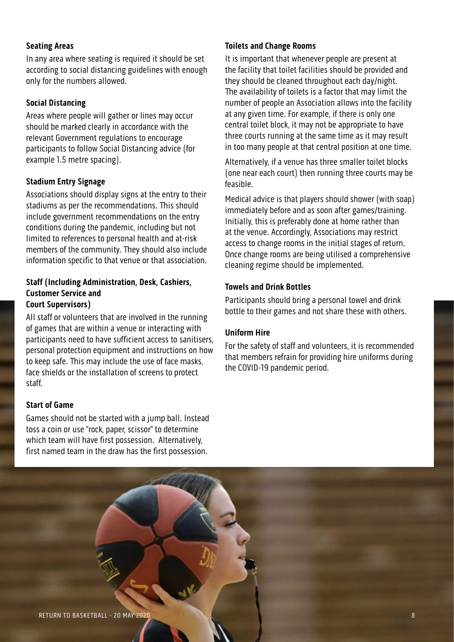#### **Seating Areas**

In any area where seating is required it should be set according to social distancing guidelines with enough only for the numbers allowed.

#### **Social Distancing**

Areas where people will gather or lines may occur should be marked clearly in accordance with the relevant Government regulations to encourage participants to follow Social Distancing advice (for example 1.5 metre spacing).

#### **Stadium Entry Signage**

Associations should display signs at the entry to their stadiums as per the recommendations. This should include government recommendations on the entry conditions during the pandemic, including but not limited to references to personal health and at-risk members of the community. They should also include information specific to that venue or that association.

#### **Staff (Including Administration, Desk, Cashiers, Customer Service and Court Supervisors)**

All staff or volunteers that are involved in the running of games that are within a venue or interacting with participants need to have sufficient access to sanitisers, personal protection equipment and instructions on how to keep safe. This may include the use of face masks, face shields or the installation of screens to protect staff.

#### **Start of Game**

Games should not be started with a jump ball. Instead toss a coin or use "rock, paper, scissor" to determine which team will have first possession. Alternatively, first named team in the draw has the first possession.

#### **Toilets and Change Rooms**

It is important that whenever people are present at the facility that toilet facilities should be provided and they should be cleaned throughout each day/night. The availability of toilets is a factor that may limit the number of people an Association allows into the facility at any given time. For example, if there is only one central toilet block, it may not be appropriate to have three courts running at the same time as it may result in too many people at that central position at one time.

Alternatively, if a venue has three smaller toilet blocks (one near each court) then running three courts may be feasible.

Medical advice is that players should shower (with soap) immediately before and as soon after games/training. Initially, this is preferably done at home rather than at the venue. Accordingly, Associations may restrict access to change rooms in the initial stages of return. Once change rooms are being utilised a comprehensive cleaning regime should be implemented.

#### **Towels and Drink Bottles**

Participants should bring a personal towel and drink bottle to their games and not share these with others.

#### **Uniform Hire**

For the safety of staff and volunteers, it is recommended that members refrain for providing hire uniforms during the COVID-19 pandemic period.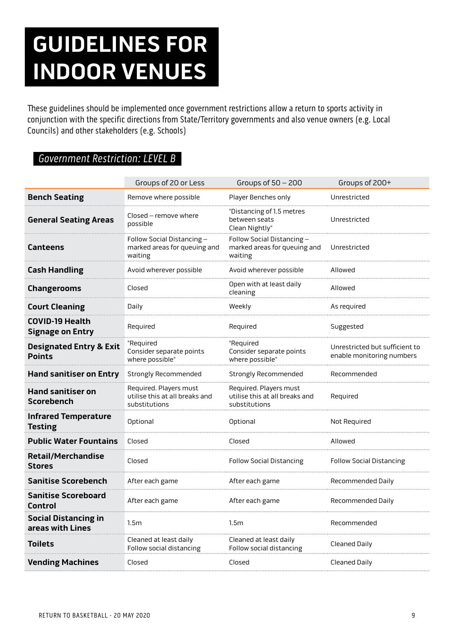## **GUIDELINES FOR INDOOR VENUES**

These guidelines should be implemented once government restrictions allow a return to sports activity in conjunction with the specific directions from State/Territory governments and also venue owners (e.g. Local Councils) and other stakeholders (e.g. Schools)

## Government Restriction: LEVEL B

|                                                     | Groups of 20 or Less                                                      | Groups of $50 - 200$                                                      | Groups of 200+                                              |
|-----------------------------------------------------|---------------------------------------------------------------------------|---------------------------------------------------------------------------|-------------------------------------------------------------|
| <b>Bench Seating</b>                                | Remove where possible                                                     | Player Benches only                                                       | Unrestricted                                                |
| <b>General Seating Areas</b>                        | Closed — remove where<br>possible                                         | "Distancing of 1.5 metres<br>between seats<br>Clean Nightly"              | Unrestricted                                                |
| Canteens                                            | Follow Social Distancing-<br>marked areas for queuing and<br>waiting      | Follow Social Distancing -<br>marked areas for queuing and<br>waiting     | Unrestricted                                                |
| <b>Cash Handling</b>                                | Avoid wherever possible                                                   | Avoid wherever possible                                                   | Allowed                                                     |
| <b>Changerooms</b>                                  | Closed                                                                    | Open with at least daily<br>cleaning                                      | Allowed                                                     |
| <b>Court Cleaning</b>                               | Daily                                                                     | Weekly                                                                    | As required                                                 |
| <b>COVID-19 Health</b><br><b>Signage on Entry</b>   | Required                                                                  | Required                                                                  | Suggested                                                   |
| <b>Designated Entry &amp; Exit</b><br><b>Points</b> | "Reguired<br>Consider separate points<br>where possible"                  | "Reguired<br>Consider separate points<br>where possible"                  | Unrestricted but sufficient to<br>enable monitoring numbers |
| <b>Hand sanitiser on Entry</b>                      | <b>Strongly Recommended</b>                                               | <b>Strongly Recommended</b>                                               | Recommended                                                 |
| <b>Hand sanitiser on</b><br><b>Scorebench</b>       | Required. Players must<br>utilise this at all breaks and<br>substitutions | Required. Players must<br>utilise this at all breaks and<br>substitutions | Required                                                    |
| <b>Infrared Temperature</b><br><b>Testing</b>       | Optional                                                                  | Optional                                                                  | Not Required                                                |
| <b>Public Water Fountains</b>                       | Closed                                                                    | Closed                                                                    | Allowed                                                     |
| <b>Retail/Merchandise</b><br><b>Stores</b>          | Closed                                                                    | <b>Follow Social Distancing</b>                                           | <b>Follow Social Distancing</b>                             |
| <b>Sanitise Scorebench</b>                          | After each game                                                           | After each game                                                           | Recommended Daily                                           |
| <b>Sanitise Scoreboard</b><br>Control               | After each game                                                           | After each game                                                           | Recommended Daily                                           |
| <b>Social Distancing in</b><br>areas with Lines     | 1.5 <sub>m</sub>                                                          | 1.5m                                                                      | Recommended                                                 |
| <b>Toilets</b>                                      | Cleaned at least daily<br>Follow social distancing                        | Cleaned at least daily<br>Follow social distancing                        | Cleaned Daily                                               |
| <b>Vending Machines</b>                             | Closed                                                                    | Closed                                                                    | <b>Cleaned Daily</b>                                        |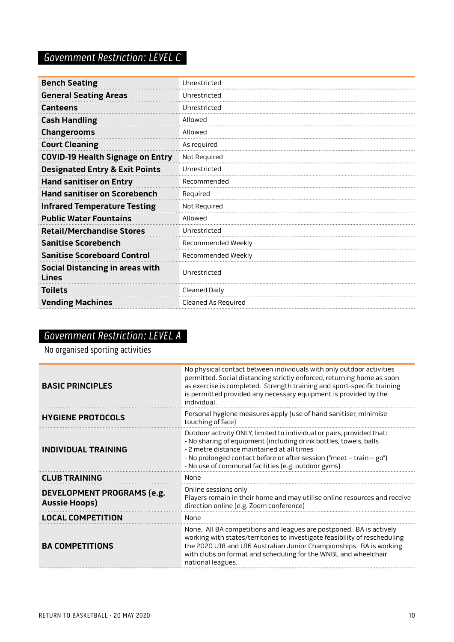## Government Restriction: LEVEL C

| <b>Bench Seating</b>                                   | Unrestricted        |
|--------------------------------------------------------|---------------------|
| <b>General Seating Areas</b>                           | Unrestricted        |
| <b>Canteens</b>                                        | Unrestricted        |
| <b>Cash Handling</b>                                   | Allowed             |
| <b>Changerooms</b>                                     | Allowed             |
| <b>Court Cleaning</b>                                  | As required         |
| <b>COVID-19 Health Signage on Entry</b>                | Not Required        |
| <b>Designated Entry &amp; Exit Points</b>              | Unrestricted        |
| <b>Hand sanitiser on Entry</b>                         | Recommended         |
| <b>Hand sanitiser on Scorebench</b>                    | Required            |
| <b>Infrared Temperature Testing</b>                    | Not Required        |
| <b>Public Water Fountains</b>                          | Allowed             |
| <b>Retail/Merchandise Stores</b>                       | Unrestricted        |
| <b>Sanitise Scorebench</b>                             | Recommended Weekly  |
| <b>Sanitise Scoreboard Control</b>                     | Recommended Weekly  |
| <b>Social Distancing in areas with</b><br><b>Lines</b> | Unrestricted        |
| <b>Toilets</b>                                         | Cleaned Daily       |
| <b>Vending Machines</b>                                | Cleaned As Required |
|                                                        |                     |

## Government Restriction: LEVEL A

No organised sporting activities

| <b>BASIC PRINCIPLES</b>                            | No physical contact between individuals with only outdoor activities<br>permitted. Social distancing strictly enforced, returning home as soon<br>as exercise is completed. Strength training and sport-specific training<br>is permitted provided any necessary equipment is provided by the<br>individual.            |
|----------------------------------------------------|-------------------------------------------------------------------------------------------------------------------------------------------------------------------------------------------------------------------------------------------------------------------------------------------------------------------------|
| <b>HYGIENE PROTOCOLS</b>                           | Personal hygiene measures apply (use of hand sanitiser, minimise<br>touching of face)                                                                                                                                                                                                                                   |
| <b>INDIVIDUAL TRAINING</b>                         | Outdoor activity ONLY, limited to individual or pairs, provided that:<br>- No sharing of equipment (including drink bottles, towels, balls<br>- 2 metre distance maintained at all times<br>- No prolonged contact before or after session ("meet - train - go")<br>- No use of communal facilities (e.g. outdoor gyms) |
| <b>CLUB TRAINING</b>                               | None                                                                                                                                                                                                                                                                                                                    |
| DEVELOPMENT PROGRAMS (e.g.<br><b>Aussie Hoops)</b> | Online sessions only<br>Players remain in their home and may utilise online resources and receive<br>direction online (e.g. Zoom conference)                                                                                                                                                                            |
| <b>LOCAL COMPETITION</b>                           | None                                                                                                                                                                                                                                                                                                                    |
| <b>BA COMPETITIONS</b>                             | None. All BA competitions and leagues are postponed. BA is actively<br>working with states/territories to investigate feasibility of rescheduling<br>the 2020 U18 and U16 Australian Junior Championships. BA is working<br>with clubs on format and scheduling for the WNBL and wheelchair<br>national leagues.        |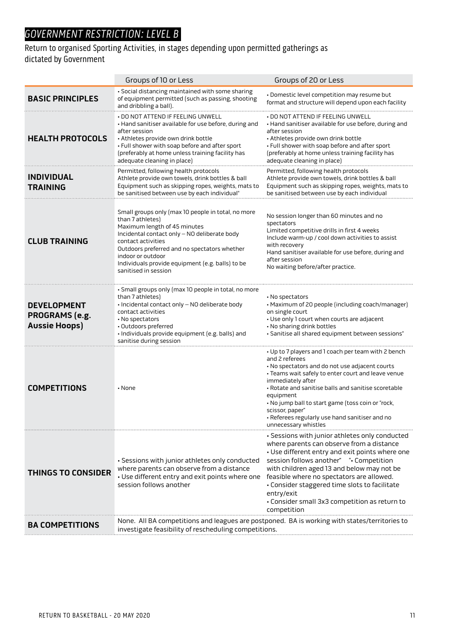## GOVERNMENT RESTRICTION: LEVEL B

Return to organised Sporting Activities, in stages depending upon permitted gatherings as dictated by Government

|                                                              | Groups of 10 or Less                                                                                                                                                                                                                                                                                                          | Groups of 20 or Less                                                                                                                                                                                                                                                                                                                                                                                                   |
|--------------------------------------------------------------|-------------------------------------------------------------------------------------------------------------------------------------------------------------------------------------------------------------------------------------------------------------------------------------------------------------------------------|------------------------------------------------------------------------------------------------------------------------------------------------------------------------------------------------------------------------------------------------------------------------------------------------------------------------------------------------------------------------------------------------------------------------|
| <b>BASIC PRINCIPLES</b>                                      | • Social distancing maintained with some sharing<br>of equipment permitted (such as passing, shooting<br>and dribbling a ball).                                                                                                                                                                                               | · Domestic level competition may resume but<br>format and structure will depend upon each facility                                                                                                                                                                                                                                                                                                                     |
| <b>HEALTH PROTOCOLS</b>                                      | • DO NOT ATTEND IF FEELING UNWELL<br>- Hand sanitiser available for use before, during and<br>after session<br>• Athletes provide own drink bottle<br>. Full shower with soap before and after sport<br>(preferably at home unless training facility has<br>adequate cleaning in place)                                       | • DO NOT ATTEND IF FEELING UNWELL<br>- Hand sanitiser available for use before, during and<br>after session<br>· Athletes provide own drink bottle<br>. Full shower with soap before and after sport<br>(preferably at home unless training facility has<br>adequate cleaning in place)                                                                                                                                |
| <b>INDIVIDUAL</b><br><b>TRAINING</b>                         | Permitted, following health protocols<br>Athlete provide own towels, drink bottles & ball<br>Equipment such as skipping ropes, weights, mats to<br>be sanitised between use by each individual"                                                                                                                               | Permitted, following health protocols<br>Athlete provide own towels, drink bottles & ball<br>Equipment such as skipping ropes, weights, mats to<br>be sanitised between use by each individual                                                                                                                                                                                                                         |
| <b>CLUB TRAINING</b>                                         | Small groups only (max 10 people in total, no more<br>than 7 athletes)<br>Maximum length of 45 minutes<br>Incidental contact only - NO deliberate body<br>contact activities<br>Outdoors preferred and no spectators whether<br>indoor or outdoor<br>Individuals provide equipment (e.g. balls) to be<br>sanitised in session | No session longer than 60 minutes and no<br>spectators<br>Limited competitive drills in first 4 weeks<br>Include warm-up / cool down activities to assist<br>with recovery<br>Hand sanitiser available for use before, during and<br>after session<br>No waiting before/after practice.                                                                                                                                |
| <b>DEVELOPMENT</b><br>PROGRAMS (e.g.<br><b>Aussie Hoops)</b> | • Small groups only (max 10 people in total, no more<br>than 7 athletes)<br>• Incidental contact only - NO deliberate body<br>contact activities<br>• No spectators<br>• Outdoors preferred<br>· Individuals provide equipment (e.g. balls) and<br>sanitise during session                                                    | • No spectators<br>• Maximum of 20 people (including coach/manager)<br>on single court<br>· Use only 1 court when courts are adjacent<br>. No sharing drink bottles<br>- Sanitise all shared equipment between sessions"                                                                                                                                                                                               |
| <b>COMPETITIONS</b>                                          | • None                                                                                                                                                                                                                                                                                                                        | • Up to 7 players and 1 coach per team with 2 bench<br>and 2 referees<br>. No spectators and do not use adjacent courts<br>- Teams wait safely to enter court and leave venue<br>immediately after<br>Rotate and sanitise balls and sanitise scoretable<br>equipment<br>. No jump ball to start game (toss coin or "rock,<br>scissor, paper"<br>. Referees regularly use hand sanitiser and no<br>unnecessary whistles |
| <b>THINGS TO CONSIDER</b>                                    | - Sessions with junior athletes only conducted<br>where parents can observe from a distance<br>- Use different entry and exit points where one<br>session follows another                                                                                                                                                     | Sessions with junior athletes only conducted<br>where parents can observe from a distance<br>• Use different entry and exit points where one<br>session follows another" " Competition<br>with children aged 13 and below may not be<br>feasible where no spectators are allowed.<br>· Consider staggered time slots to facilitate<br>entry/exit<br>- Consider small 3x3 competition as return to<br>competition       |
| <b>BA COMPETITIONS</b>                                       | None. All BA competitions and leagues are postponed. BA is working with states/territories to<br>investigate feasibility of rescheduling competitions.                                                                                                                                                                        |                                                                                                                                                                                                                                                                                                                                                                                                                        |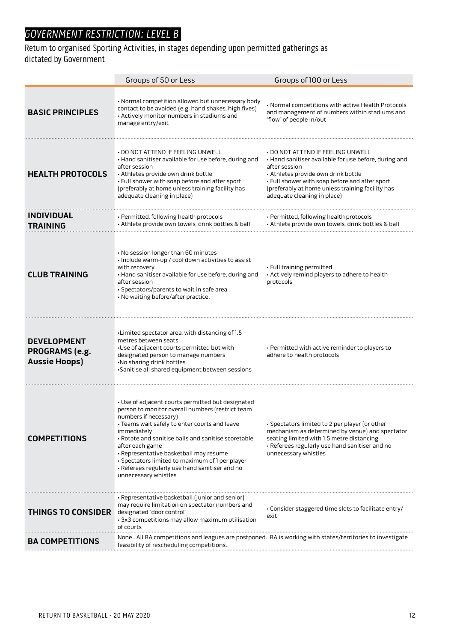## GOVERNMENT RESTRICTION: LEVEL B

Return to organised Sporting Activities, in stages depending upon permitted gatherings as dictated by Government

|                                                              | Groups of 50 or Less                                                                                                                                                                                                                                                                                                                                                                                                                          | Groups of 100 or Less                                                                                                                                                                                                                                                                   |
|--------------------------------------------------------------|-----------------------------------------------------------------------------------------------------------------------------------------------------------------------------------------------------------------------------------------------------------------------------------------------------------------------------------------------------------------------------------------------------------------------------------------------|-----------------------------------------------------------------------------------------------------------------------------------------------------------------------------------------------------------------------------------------------------------------------------------------|
| <b>BASIC PRINCIPLES</b>                                      | • Normal competition allowed but unnecessary body<br>contact to be avoided (e.g. hand shakes, high fives)<br>• Actively monitor numbers in stadiums and<br>manage entry/exit                                                                                                                                                                                                                                                                  | • Normal competitions with active Health Protocols<br>and management of numbers within stadiums and<br>"flow" of people in/out                                                                                                                                                          |
| <b>HEALTH PROTOCOLS</b>                                      | . DO NOT ATTEND IF FEELING UNWELL<br>• Hand sanitiser available for use before, during and<br>after session<br>• Athletes provide own drink bottle<br>. Full shower with soap before and after sport<br>(preferably at home unless training facility has<br>adequate cleaning in place)                                                                                                                                                       | . DO NOT ATTEND IF FEELING UNWELL<br>• Hand sanitiser available for use before, during and<br>after session<br>• Athletes provide own drink bottle<br>. Full shower with soap before and after sport<br>(preferably at home unless training facility has<br>adequate cleaning in place) |
| <b>INDIVIDUAL</b><br><b>TRAINING</b>                         | • Permitted, following health protocols<br>Athlete provide own towels, drink bottles & ball                                                                                                                                                                                                                                                                                                                                                   | • Permitted, following health protocols<br>Athlete provide own towels, drink bottles & ball                                                                                                                                                                                             |
| <b>CLUB TRAINING</b>                                         | . No session longer than 60 minutes<br>· Include warm-up / cool down activities to assist<br>with recovery<br>- Hand sanitiser available for use before, during and<br>after session<br>· Spectators/parents to wait in safe area<br>. No waiting before/after practice.                                                                                                                                                                      | • Full training permitted<br>- Actively remind players to adhere to health<br>protocols                                                                                                                                                                                                 |
| <b>DEVELOPMENT</b><br>PROGRAMS (e.g.<br><b>Aussie Hoops)</b> | -Limited spectator area, with distancing of 1.5<br>metres between seats<br>-Use of adjacent courts permitted but with<br>designated person to manage numbers<br>. No sharing drink bottles<br>-Sanitise all shared equipment between sessions                                                                                                                                                                                                 | • Permitted with active reminder to players to<br>adhere to health protocols                                                                                                                                                                                                            |
| <b>COMPETITIONS</b>                                          | · Use of adjacent courts permitted but designated<br>person to monitor overall numbers (restrict team<br>numbers if necessary)<br>• Teams wait safely to enter courts and leave<br>immediately<br>Rotate and sanitise balls and sanitise scoretable<br>after each game<br>• Representative basketball may resume<br>· Spectators limited to maximum of 1 per player<br>- Referees regularly use hand sanitiser and no<br>unnecessary whistles | • Spectators limited to 2 per player (or other<br>mechanism as determined by venue) and spectator<br>seating limited with 1.5 metre distancing<br>- Referees regularly use hand sanitiser and no<br>unnecessary whistles                                                                |
| <b>THINGS TO CONSIDER</b>                                    | • Representative basketball (junior and senior)<br>may require limitation on spectator numbers and<br>designated "door control"<br>- 3x3 competitions may allow maximum utilisation<br>of courts                                                                                                                                                                                                                                              | . Consider staggered time slots to facilitate entry/<br>exit                                                                                                                                                                                                                            |
| <b>BA COMPETITIONS</b>                                       | None. All BA competitions and leagues are postponed. BA is working with states/territories to investigate<br>feasibility of rescheduling competitions.                                                                                                                                                                                                                                                                                        |                                                                                                                                                                                                                                                                                         |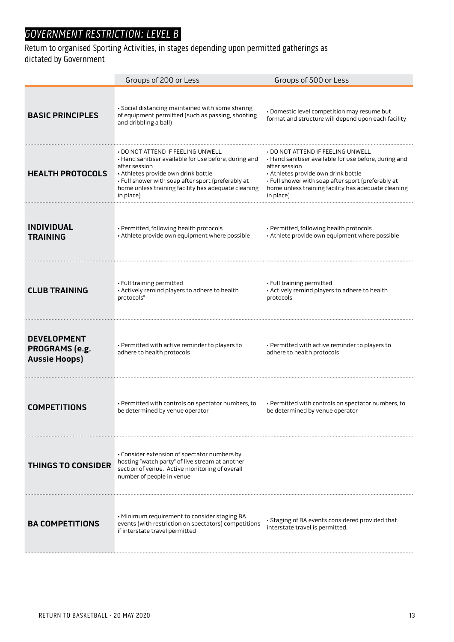## GOVERNMENT RESTRICTION: LEVEL B

Return to organised Sporting Activities, in stages depending upon permitted gatherings as dictated by Government

|                                                              | Groups of 200 or Less                                                                                                                                                                                                                                                        | Groups of 500 or Less                                                                                                                                                                                                                                                        |
|--------------------------------------------------------------|------------------------------------------------------------------------------------------------------------------------------------------------------------------------------------------------------------------------------------------------------------------------------|------------------------------------------------------------------------------------------------------------------------------------------------------------------------------------------------------------------------------------------------------------------------------|
| <b>BASIC PRINCIPLES</b>                                      | • Social distancing maintained with some sharing<br>of equipment permitted (such as passing, shooting<br>and dribbling a ball)                                                                                                                                               | · Domestic level competition may resume but<br>format and structure will depend upon each facility                                                                                                                                                                           |
| <b>HEALTH PROTOCOLS</b>                                      | . DO NOT ATTEND IF FEELING UNWELL<br>. Hand sanitiser available for use before, during and<br>after session<br>• Athletes provide own drink bottle<br>. Full shower with soap after sport (preferably at<br>home unless training facility has adequate cleaning<br>in place) | • DO NOT ATTEND IF FEELING UNWELL<br>• Hand sanitiser available for use before, during and<br>after session<br>• Athletes provide own drink bottle<br>. Full shower with soap after sport (preferably at<br>home unless training facility has adequate cleaning<br>in place) |
| <b>INDIVIDUAL</b><br><b>TRAINING</b>                         | · Permitted, following health protocols<br>• Athlete provide own equipment where possible                                                                                                                                                                                    | · Permitted, following health protocols<br>- Athlete provide own equipment where possible                                                                                                                                                                                    |
| <b>CLUB TRAINING</b>                                         | · Full training permitted<br>• Actively remind players to adhere to health<br>protocols"                                                                                                                                                                                     | · Full training permitted<br>- Actively remind players to adhere to health<br>protocols                                                                                                                                                                                      |
| <b>DEVELOPMENT</b><br>PROGRAMS (e.g.<br><b>Aussie Hoops)</b> | - Permitted with active reminder to players to<br>adhere to health protocols                                                                                                                                                                                                 | • Permitted with active reminder to players to<br>adhere to health protocols                                                                                                                                                                                                 |
| <b>COMPETITIONS</b>                                          | · Permitted with controls on spectator numbers, to<br>be determined by venue operator                                                                                                                                                                                        | - Permitted with controls on spectator numbers, to<br>be determined by venue operator                                                                                                                                                                                        |
| <b>THINGS TO CONSIDER</b>                                    | • Consider extension of spectator numbers by<br>hosting "watch party" of live stream at another<br>section of venue. Active monitoring of overall<br>number of people in venue                                                                                               |                                                                                                                                                                                                                                                                              |
| <b>BA COMPETITIONS</b>                                       | • Minimum requirement to consider staging BA<br>events (with restriction on spectators) competitions<br>if interstate travel permitted                                                                                                                                       | • Staging of BA events considered provided that<br>interstate travel is permitted.                                                                                                                                                                                           |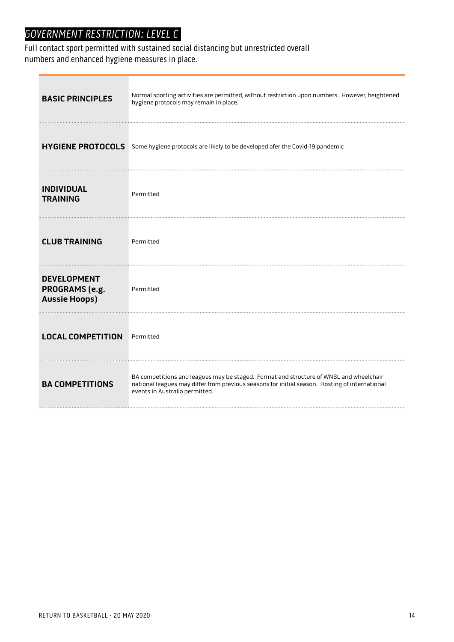## GOVERNMENT RESTRICTION: LEVEL C

Full contact sport permitted with sustained social distancing but unrestricted overall numbers and enhanced hygiene measures in place.

| <b>BASIC PRINCIPLES</b>                                      | Normal sporting activities are permitted, without restriction upon numbers. However, heightened<br>hygiene protocols may remain in place.                                                                                  |
|--------------------------------------------------------------|----------------------------------------------------------------------------------------------------------------------------------------------------------------------------------------------------------------------------|
|                                                              | HYGIENE PROTOCOLS Some hygiene protocols are likely to be developed afer the Covid-19 pandemic                                                                                                                             |
| <b>INDIVIDUAL</b><br><b>TRAINING</b>                         | Permitted                                                                                                                                                                                                                  |
| <b>CLUB TRAINING</b>                                         | Permitted                                                                                                                                                                                                                  |
| <b>DEVELOPMENT</b><br>PROGRAMS (e.g.<br><b>Aussie Hoops)</b> | Permitted                                                                                                                                                                                                                  |
| <b>LOCAL COMPETITION</b>                                     | Permitted                                                                                                                                                                                                                  |
| <b>BA COMPETITIONS</b>                                       | BA competitions and leagues may be staged. Format and structure of WNBL and wheelchair<br>national leagues may differ from previous seasons for initial season. Hosting of international<br>events in Australia permitted. |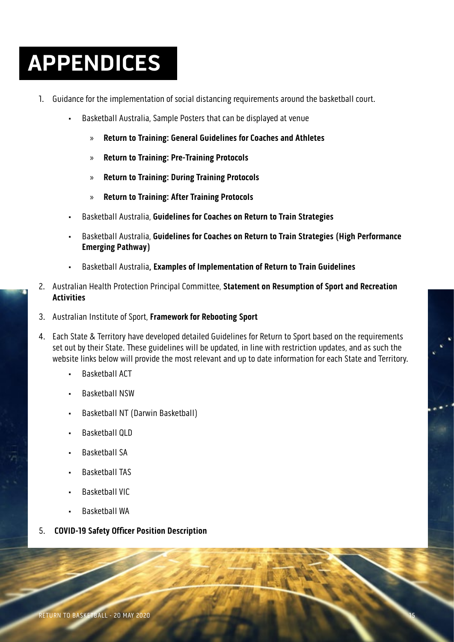# **APPENDICES**

- 1. Guidance for the implementation of social distancing requirements around the basketball court.
	- Basketball Australia, Sample Posters that can be displayed at venue
		- » **[Return to Training: General Guidelines for Coaches and Athletes](https://australia.basketball/wp-content/uploads/2020/05/Appendix-1-General-Guidelines-RTT.pdf)**
		- » **[Return to Training: Pre-Training Protocols](https://australia.basketball/wp-content/uploads/2020/05/Appendix-1-Pre-Training-Protocols.pdf)**
		- » **[Return to Training: During Training Protocols](https://australia.basketball/wp-content/uploads/2020/05/Appendix-1-DURING-TRAINING-RTT.pdf)**
		- » **[Return to Training: After Training Protocols](https://australia.basketball/wp-content/uploads/2020/05/Appendix-1-POST-Training-RTT.pdf)**
	- Basketball Australia, **[Guidelines for Coaches on Return to Train Strategies](https://australia.basketball/wp-content/uploads/2020/05/Appendix-1-Guidelines-for-Coaches-on-Return-to-Train-Strategies.pdf)**
	- Basketball Australia, **[Guidelines for Coaches on Return to Train Strategies \(High Performance](https://australia.basketball/wp-content/uploads/2020/05/Appendix-1-Guidelines-for-Coaches-HPP.pdf)  [Emerging Pathway\)](https://australia.basketball/wp-content/uploads/2020/05/Appendix-1-Guidelines-for-Coaches-HPP.pdf)**
	- Basketball Australia**[, Examples of Implementation of Return to Train Guidelines](https://australia.basketball/wp-content/uploads/2020/05/Appendix-1-Examples-of-Implementation.pdf)**
- 2. Australian Health Protection Principal Committee, **[Statement on Resumption of Sport and Recreation](https://australia.basketball/wp-content/uploads/2020/05/Appendix-2-AHPPC-Statement.pdf)  Activities**
- 3. Australian Institute of Sport, **[Framework for Rebooting Sport](https://australia.basketball/wp-content/uploads/2020/05/Appendix-3-AIS-Framework-for-rebooting-sport.pdf)**
- 4. Each State & Territory have developed detailed Guidelines for Return to Sport based on the requirements set out by their State. These guidelines will be updated, in line with restriction updates, and as such the website links below will provide the most relevant and up to date information for each State and Territory.
	- [Basketball ACT](http://www.basketballact.com.au/)
	- [Basketball NSW](https://www.bnsw.com.au/)
	- [Basketball NT \(Darwin Basketball\)](https://websites.sportstg.com/assoc_page.cgi?assoc=7298&pID=1)
	- [Basketball QLD](http://www.basketballqld.com.au/)
	- [Basketball SA](http://www.basketballsa.com.au/)
	- [Basketball TAS](https://www.basketballtasmania.com.au/)
	- [Basketball VIC](http://basketballvictoria.com.au/)
	- [Basketball WA](https://basketballwa.asn.au/)
- 5. **[COVID-19 Safety Officer Position Description](https://australia.basketball/wp-content/uploads/2020/05/COVID-19-Safety-Officer-Position-Description.pdf)**